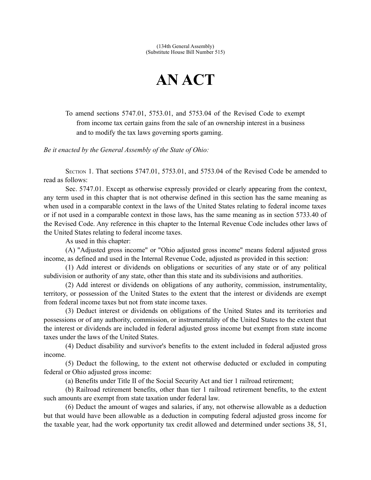## **AN ACT**

To amend sections 5747.01, 5753.01, and 5753.04 of the Revised Code to exempt from income tax certain gains from the sale of an ownership interest in a business and to modify the tax laws governing sports gaming.

*Be it enacted by the General Assembly of the State of Ohio:*

SECTION 1. That sections 5747.01, 5753.01, and 5753.04 of the Revised Code be amended to read as follows:

Sec. 5747.01. Except as otherwise expressly provided or clearly appearing from the context, any term used in this chapter that is not otherwise defined in this section has the same meaning as when used in a comparable context in the laws of the United States relating to federal income taxes or if not used in a comparable context in those laws, has the same meaning as in section 5733.40 of the Revised Code. Any reference in this chapter to the Internal Revenue Code includes other laws of the United States relating to federal income taxes.

As used in this chapter:

(A) "Adjusted gross income" or "Ohio adjusted gross income" means federal adjusted gross income, as defined and used in the Internal Revenue Code, adjusted as provided in this section:

(1) Add interest or dividends on obligations or securities of any state or of any political subdivision or authority of any state, other than this state and its subdivisions and authorities.

(2) Add interest or dividends on obligations of any authority, commission, instrumentality, territory, or possession of the United States to the extent that the interest or dividends are exempt from federal income taxes but not from state income taxes.

(3) Deduct interest or dividends on obligations of the United States and its territories and possessions or of any authority, commission, or instrumentality of the United States to the extent that the interest or dividends are included in federal adjusted gross income but exempt from state income taxes under the laws of the United States.

(4) Deduct disability and survivor's benefits to the extent included in federal adjusted gross income.

(5) Deduct the following, to the extent not otherwise deducted or excluded in computing federal or Ohio adjusted gross income:

(a) Benefits under Title II of the Social Security Act and tier 1 railroad retirement;

(b) Railroad retirement benefits, other than tier 1 railroad retirement benefits, to the extent such amounts are exempt from state taxation under federal law.

(6) Deduct the amount of wages and salaries, if any, not otherwise allowable as a deduction but that would have been allowable as a deduction in computing federal adjusted gross income for the taxable year, had the work opportunity tax credit allowed and determined under sections 38, 51,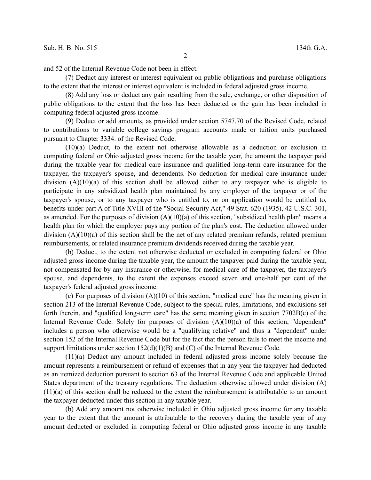and 52 of the Internal Revenue Code not been in effect.

(7) Deduct any interest or interest equivalent on public obligations and purchase obligations to the extent that the interest or interest equivalent is included in federal adjusted gross income.

(8) Add any loss or deduct any gain resulting from the sale, exchange, or other disposition of public obligations to the extent that the loss has been deducted or the gain has been included in computing federal adjusted gross income.

(9) Deduct or add amounts, as provided under section 5747.70 of the Revised Code, related to contributions to variable college savings program accounts made or tuition units purchased pursuant to Chapter 3334. of the Revised Code.

(10)(a) Deduct, to the extent not otherwise allowable as a deduction or exclusion in computing federal or Ohio adjusted gross income for the taxable year, the amount the taxpayer paid during the taxable year for medical care insurance and qualified long-term care insurance for the taxpayer, the taxpayer's spouse, and dependents. No deduction for medical care insurance under division  $(A)(10)(a)$  of this section shall be allowed either to any taxpayer who is eligible to participate in any subsidized health plan maintained by any employer of the taxpayer or of the taxpayer's spouse, or to any taxpayer who is entitled to, or on application would be entitled to, benefits under part A of Title XVIII of the "Social Security Act," 49 Stat. 620 (1935), 42 U.S.C. 301, as amended. For the purposes of division  $(A)(10)(a)$  of this section, "subsidized health plan" means a health plan for which the employer pays any portion of the plan's cost. The deduction allowed under division (A)(10)(a) of this section shall be the net of any related premium refunds, related premium reimbursements, or related insurance premium dividends received during the taxable year.

(b) Deduct, to the extent not otherwise deducted or excluded in computing federal or Ohio adjusted gross income during the taxable year, the amount the taxpayer paid during the taxable year, not compensated for by any insurance or otherwise, for medical care of the taxpayer, the taxpayer's spouse, and dependents, to the extent the expenses exceed seven and one-half per cent of the taxpayer's federal adjusted gross income.

(c) For purposes of division (A)(10) of this section, "medical care" has the meaning given in section 213 of the Internal Revenue Code, subject to the special rules, limitations, and exclusions set forth therein, and "qualified long-term care" has the same meaning given in section 7702B(c) of the Internal Revenue Code. Solely for purposes of division  $(A)(10)(a)$  of this section, "dependent" includes a person who otherwise would be a "qualifying relative" and thus a "dependent" under section 152 of the Internal Revenue Code but for the fact that the person fails to meet the income and support limitations under section  $152(d)(1)(B)$  and (C) of the Internal Revenue Code.

(11)(a) Deduct any amount included in federal adjusted gross income solely because the amount represents a reimbursement or refund of expenses that in any year the taxpayer had deducted as an itemized deduction pursuant to section 63 of the Internal Revenue Code and applicable United States department of the treasury regulations. The deduction otherwise allowed under division (A) (11)(a) of this section shall be reduced to the extent the reimbursement is attributable to an amount the taxpayer deducted under this section in any taxable year.

(b) Add any amount not otherwise included in Ohio adjusted gross income for any taxable year to the extent that the amount is attributable to the recovery during the taxable year of any amount deducted or excluded in computing federal or Ohio adjusted gross income in any taxable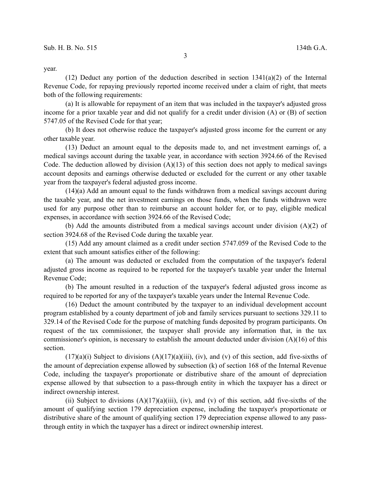year.

(12) Deduct any portion of the deduction described in section  $1341(a)(2)$  of the Internal Revenue Code, for repaying previously reported income received under a claim of right, that meets both of the following requirements:

(a) It is allowable for repayment of an item that was included in the taxpayer's adjusted gross income for a prior taxable year and did not qualify for a credit under division (A) or (B) of section 5747.05 of the Revised Code for that year;

(b) It does not otherwise reduce the taxpayer's adjusted gross income for the current or any other taxable year.

(13) Deduct an amount equal to the deposits made to, and net investment earnings of, a medical savings account during the taxable year, in accordance with section 3924.66 of the Revised Code. The deduction allowed by division  $(A)(13)$  of this section does not apply to medical savings account deposits and earnings otherwise deducted or excluded for the current or any other taxable year from the taxpayer's federal adjusted gross income.

(14)(a) Add an amount equal to the funds withdrawn from a medical savings account during the taxable year, and the net investment earnings on those funds, when the funds withdrawn were used for any purpose other than to reimburse an account holder for, or to pay, eligible medical expenses, in accordance with section 3924.66 of the Revised Code;

(b) Add the amounts distributed from a medical savings account under division (A)(2) of section 3924.68 of the Revised Code during the taxable year.

(15) Add any amount claimed as a credit under section 5747.059 of the Revised Code to the extent that such amount satisfies either of the following:

(a) The amount was deducted or excluded from the computation of the taxpayer's federal adjusted gross income as required to be reported for the taxpayer's taxable year under the Internal Revenue Code;

(b) The amount resulted in a reduction of the taxpayer's federal adjusted gross income as required to be reported for any of the taxpayer's taxable years under the Internal Revenue Code.

(16) Deduct the amount contributed by the taxpayer to an individual development account program established by a county department of job and family services pursuant to sections 329.11 to 329.14 of the Revised Code for the purpose of matching funds deposited by program participants. On request of the tax commissioner, the taxpayer shall provide any information that, in the tax commissioner's opinion, is necessary to establish the amount deducted under division (A)(16) of this section.

 $(17)(a)(i)$  Subject to divisions  $(A)(17)(a)(iii)$ , (iv), and (v) of this section, add five-sixths of the amount of depreciation expense allowed by subsection (k) of section 168 of the Internal Revenue Code, including the taxpayer's proportionate or distributive share of the amount of depreciation expense allowed by that subsection to a pass-through entity in which the taxpayer has a direct or indirect ownership interest.

(ii) Subject to divisions  $(A)(17)(a)(iii)$ , (iv), and (v) of this section, add five-sixths of the amount of qualifying section 179 depreciation expense, including the taxpayer's proportionate or distributive share of the amount of qualifying section 179 depreciation expense allowed to any passthrough entity in which the taxpayer has a direct or indirect ownership interest.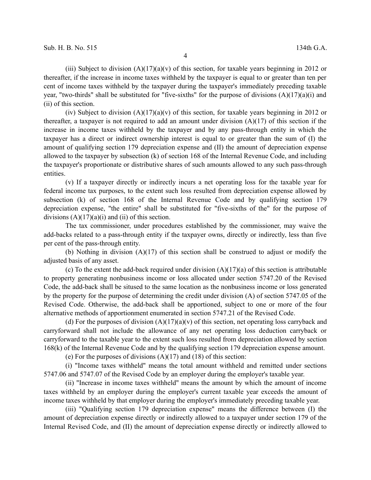(iii) Subject to division  $(A)(17)(a)(v)$  of this section, for taxable years beginning in 2012 or thereafter, if the increase in income taxes withheld by the taxpayer is equal to or greater than ten per cent of income taxes withheld by the taxpayer during the taxpayer's immediately preceding taxable year, "two-thirds" shall be substituted for "five-sixths" for the purpose of divisions  $(A)(17)(a)(i)$  and (ii) of this section.

(iv) Subject to division  $(A)(17)(a)(v)$  of this section, for taxable years beginning in 2012 or thereafter, a taxpayer is not required to add an amount under division (A)(17) of this section if the increase in income taxes withheld by the taxpayer and by any pass-through entity in which the taxpayer has a direct or indirect ownership interest is equal to or greater than the sum of (I) the amount of qualifying section 179 depreciation expense and (II) the amount of depreciation expense allowed to the taxpayer by subsection (k) of section 168 of the Internal Revenue Code, and including the taxpayer's proportionate or distributive shares of such amounts allowed to any such pass-through entities.

(v) If a taxpayer directly or indirectly incurs a net operating loss for the taxable year for federal income tax purposes, to the extent such loss resulted from depreciation expense allowed by subsection (k) of section 168 of the Internal Revenue Code and by qualifying section 179 depreciation expense, "the entire" shall be substituted for "five-sixths of the" for the purpose of divisions  $(A)(17)(a)(i)$  and (ii) of this section.

The tax commissioner, under procedures established by the commissioner, may waive the add-backs related to a pass-through entity if the taxpayer owns, directly or indirectly, less than five per cent of the pass-through entity.

(b) Nothing in division  $(A)(17)$  of this section shall be construed to adjust or modify the adjusted basis of any asset.

(c) To the extent the add-back required under division  $(A)(17)(a)$  of this section is attributable to property generating nonbusiness income or loss allocated under section 5747.20 of the Revised Code, the add-back shall be sitused to the same location as the nonbusiness income or loss generated by the property for the purpose of determining the credit under division (A) of section 5747.05 of the Revised Code. Otherwise, the add-back shall be apportioned, subject to one or more of the four alternative methods of apportionment enumerated in section 5747.21 of the Revised Code.

(d) For the purposes of division  $(A)(17)(a)(v)$  of this section, net operating loss carryback and carryforward shall not include the allowance of any net operating loss deduction carryback or carryforward to the taxable year to the extent such loss resulted from depreciation allowed by section 168(k) of the Internal Revenue Code and by the qualifying section 179 depreciation expense amount.

(e) For the purposes of divisions  $(A)(17)$  and  $(18)$  of this section:

(i) "Income taxes withheld" means the total amount withheld and remitted under sections 5747.06 and 5747.07 of the Revised Code by an employer during the employer's taxable year.

(ii) "Increase in income taxes withheld" means the amount by which the amount of income taxes withheld by an employer during the employer's current taxable year exceeds the amount of income taxes withheld by that employer during the employer's immediately preceding taxable year.

(iii) "Qualifying section 179 depreciation expense" means the difference between (I) the amount of depreciation expense directly or indirectly allowed to a taxpayer under section 179 of the Internal Revised Code, and (II) the amount of depreciation expense directly or indirectly allowed to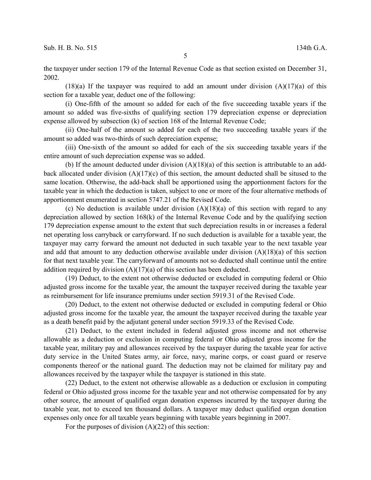5

the taxpayer under section 179 of the Internal Revenue Code as that section existed on December 31, 2002.

 $(18)(a)$  If the taxpayer was required to add an amount under division  $(A)(17)(a)$  of this section for a taxable year, deduct one of the following:

(i) One-fifth of the amount so added for each of the five succeeding taxable years if the amount so added was five-sixths of qualifying section 179 depreciation expense or depreciation expense allowed by subsection (k) of section 168 of the Internal Revenue Code;

(ii) One-half of the amount so added for each of the two succeeding taxable years if the amount so added was two-thirds of such depreciation expense;

(iii) One-sixth of the amount so added for each of the six succeeding taxable years if the entire amount of such depreciation expense was so added.

(b) If the amount deducted under division (A)(18)(a) of this section is attributable to an addback allocated under division (A)(17)(c) of this section, the amount deducted shall be sitused to the same location. Otherwise, the add-back shall be apportioned using the apportionment factors for the taxable year in which the deduction is taken, subject to one or more of the four alternative methods of apportionment enumerated in section 5747.21 of the Revised Code.

(c) No deduction is available under division  $(A)(18)(a)$  of this section with regard to any depreciation allowed by section 168(k) of the Internal Revenue Code and by the qualifying section 179 depreciation expense amount to the extent that such depreciation results in or increases a federal net operating loss carryback or carryforward. If no such deduction is available for a taxable year, the taxpayer may carry forward the amount not deducted in such taxable year to the next taxable year and add that amount to any deduction otherwise available under division (A)(18)(a) of this section for that next taxable year. The carryforward of amounts not so deducted shall continue until the entire addition required by division  $(A)(17)(a)$  of this section has been deducted.

(19) Deduct, to the extent not otherwise deducted or excluded in computing federal or Ohio adjusted gross income for the taxable year, the amount the taxpayer received during the taxable year as reimbursement for life insurance premiums under section 5919.31 of the Revised Code.

(20) Deduct, to the extent not otherwise deducted or excluded in computing federal or Ohio adjusted gross income for the taxable year, the amount the taxpayer received during the taxable year as a death benefit paid by the adjutant general under section 5919.33 of the Revised Code.

(21) Deduct, to the extent included in federal adjusted gross income and not otherwise allowable as a deduction or exclusion in computing federal or Ohio adjusted gross income for the taxable year, military pay and allowances received by the taxpayer during the taxable year for active duty service in the United States army, air force, navy, marine corps, or coast guard or reserve components thereof or the national guard. The deduction may not be claimed for military pay and allowances received by the taxpayer while the taxpayer is stationed in this state.

(22) Deduct, to the extent not otherwise allowable as a deduction or exclusion in computing federal or Ohio adjusted gross income for the taxable year and not otherwise compensated for by any other source, the amount of qualified organ donation expenses incurred by the taxpayer during the taxable year, not to exceed ten thousand dollars. A taxpayer may deduct qualified organ donation expenses only once for all taxable years beginning with taxable years beginning in 2007.

For the purposes of division  $(A)(22)$  of this section: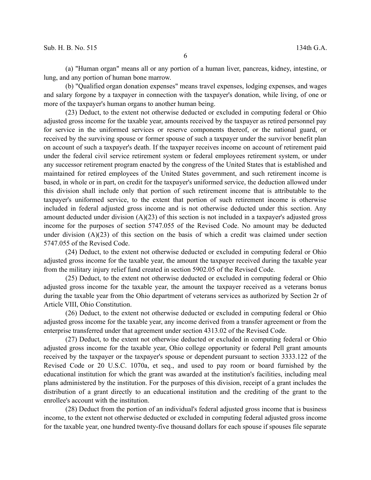(a) "Human organ" means all or any portion of a human liver, pancreas, kidney, intestine, or lung, and any portion of human bone marrow.

(b) "Qualified organ donation expenses" means travel expenses, lodging expenses, and wages and salary forgone by a taxpayer in connection with the taxpayer's donation, while living, of one or more of the taxpayer's human organs to another human being.

(23) Deduct, to the extent not otherwise deducted or excluded in computing federal or Ohio adjusted gross income for the taxable year, amounts received by the taxpayer as retired personnel pay for service in the uniformed services or reserve components thereof, or the national guard, or received by the surviving spouse or former spouse of such a taxpayer under the survivor benefit plan on account of such a taxpayer's death. If the taxpayer receives income on account of retirement paid under the federal civil service retirement system or federal employees retirement system, or under any successor retirement program enacted by the congress of the United States that is established and maintained for retired employees of the United States government, and such retirement income is based, in whole or in part, on credit for the taxpayer's uniformed service, the deduction allowed under this division shall include only that portion of such retirement income that is attributable to the taxpayer's uniformed service, to the extent that portion of such retirement income is otherwise included in federal adjusted gross income and is not otherwise deducted under this section. Any amount deducted under division (A)(23) of this section is not included in a taxpayer's adjusted gross income for the purposes of section 5747.055 of the Revised Code. No amount may be deducted under division  $(A)(23)$  of this section on the basis of which a credit was claimed under section 5747.055 of the Revised Code.

(24) Deduct, to the extent not otherwise deducted or excluded in computing federal or Ohio adjusted gross income for the taxable year, the amount the taxpayer received during the taxable year from the military injury relief fund created in section 5902.05 of the Revised Code.

(25) Deduct, to the extent not otherwise deducted or excluded in computing federal or Ohio adjusted gross income for the taxable year, the amount the taxpayer received as a veterans bonus during the taxable year from the Ohio department of veterans services as authorized by Section 2r of Article VIII, Ohio Constitution.

(26) Deduct, to the extent not otherwise deducted or excluded in computing federal or Ohio adjusted gross income for the taxable year, any income derived from a transfer agreement or from the enterprise transferred under that agreement under section 4313.02 of the Revised Code.

(27) Deduct, to the extent not otherwise deducted or excluded in computing federal or Ohio adjusted gross income for the taxable year, Ohio college opportunity or federal Pell grant amounts received by the taxpayer or the taxpayer's spouse or dependent pursuant to section 3333.122 of the Revised Code or 20 U.S.C. 1070a, et seq., and used to pay room or board furnished by the educational institution for which the grant was awarded at the institution's facilities, including meal plans administered by the institution. For the purposes of this division, receipt of a grant includes the distribution of a grant directly to an educational institution and the crediting of the grant to the enrollee's account with the institution.

(28) Deduct from the portion of an individual's federal adjusted gross income that is business income, to the extent not otherwise deducted or excluded in computing federal adjusted gross income for the taxable year, one hundred twenty-five thousand dollars for each spouse if spouses file separate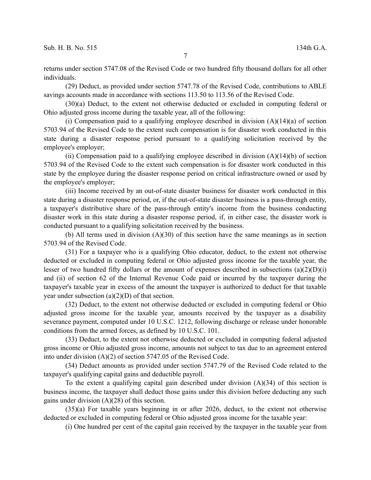7

returns under section 5747.08 of the Revised Code or two hundred fifty thousand dollars for all other individuals.

(29) Deduct, as provided under section 5747.78 of the Revised Code, contributions to ABLE savings accounts made in accordance with sections 113.50 to 113.56 of the Revised Code.

(30)(a) Deduct, to the extent not otherwise deducted or excluded in computing federal or Ohio adjusted gross income during the taxable year, all of the following:

(i) Compensation paid to a qualifying employee described in division  $(A)(14)(a)$  of section 5703.94 of the Revised Code to the extent such compensation is for disaster work conducted in this state during a disaster response period pursuant to a qualifying solicitation received by the employee's employer;

(ii) Compensation paid to a qualifying employee described in division  $(A)(14)(b)$  of section 5703.94 of the Revised Code to the extent such compensation is for disaster work conducted in this state by the employee during the disaster response period on critical infrastructure owned or used by the employee's employer;

(iii) Income received by an out-of-state disaster business for disaster work conducted in this state during a disaster response period, or, if the out-of-state disaster business is a pass-through entity, a taxpayer's distributive share of the pass-through entity's income from the business conducting disaster work in this state during a disaster response period, if, in either case, the disaster work is conducted pursuant to a qualifying solicitation received by the business.

(b) All terms used in division (A)(30) of this section have the same meanings as in section 5703.94 of the Revised Code.

(31) For a taxpayer who is a qualifying Ohio educator, deduct, to the extent not otherwise deducted or excluded in computing federal or Ohio adjusted gross income for the taxable year, the lesser of two hundred fifty dollars or the amount of expenses described in subsections  $(a)(2)(D)(i)$ and (ii) of section 62 of the Internal Revenue Code paid or incurred by the taxpayer during the taxpayer's taxable year in excess of the amount the taxpayer is authorized to deduct for that taxable year under subsection  $(a)(2)(D)$  of that section.

(32) Deduct, to the extent not otherwise deducted or excluded in computing federal or Ohio adjusted gross income for the taxable year, amounts received by the taxpayer as a disability severance payment, computed under 10 U.S.C. 1212, following discharge or release under honorable conditions from the armed forces, as defined by 10 U.S.C. 101.

(33) Deduct, to the extent not otherwise deducted or excluded in computing federal adjusted gross income or Ohio adjusted gross income, amounts not subject to tax due to an agreement entered into under division (A)(2) of section 5747.05 of the Revised Code.

(34) Deduct amounts as provided under section 5747.79 of the Revised Code related to the taxpayer's qualifying capital gains and deductible payroll.

To the extent a qualifying capital gain described under division  $(A)(34)$  of this section is business income, the taxpayer shall deduct those gains under this division before deducting any such gains under division (A)(28) of this section.

(35)(a) For taxable years beginning in or after 2026, deduct, to the extent not otherwise deducted or excluded in computing federal or Ohio adjusted gross income for the taxable year:

(i) One hundred per cent of the capital gain received by the taxpayer in the taxable year from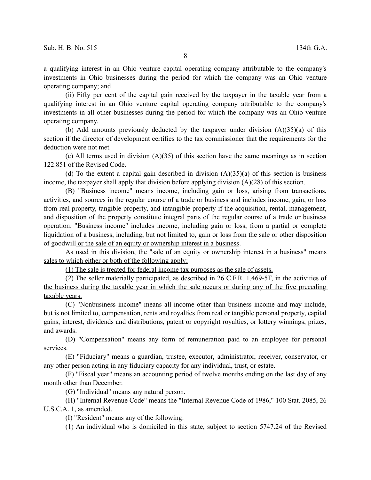a qualifying interest in an Ohio venture capital operating company attributable to the company's investments in Ohio businesses during the period for which the company was an Ohio venture operating company; and

(ii) Fifty per cent of the capital gain received by the taxpayer in the taxable year from a qualifying interest in an Ohio venture capital operating company attributable to the company's investments in all other businesses during the period for which the company was an Ohio venture operating company.

(b) Add amounts previously deducted by the taxpayer under division  $(A)(35)(a)$  of this section if the director of development certifies to the tax commissioner that the requirements for the deduction were not met.

(c) All terms used in division (A)(35) of this section have the same meanings as in section 122.851 of the Revised Code.

(d) To the extent a capital gain described in division  $(A)(35)(a)$  of this section is business income, the taxpayer shall apply that division before applying division (A)(28) of this section.

(B) "Business income" means income, including gain or loss, arising from transactions, activities, and sources in the regular course of a trade or business and includes income, gain, or loss from real property, tangible property, and intangible property if the acquisition, rental, management, and disposition of the property constitute integral parts of the regular course of a trade or business operation. "Business income" includes income, including gain or loss, from a partial or complete liquidation of a business, including, but not limited to, gain or loss from the sale or other disposition of goodwill or the sale of an equity or ownership interest in a business.

As used in this division, the "sale of an equity or ownership interest in a business" means sales to which either or both of the following apply:

(1) The sale is treated for federal income tax purposes as the sale of assets.

(2) The seller materially participated, as described in 26 C.F.R. 1.469-5T, in the activities of the business during the taxable year in which the sale occurs or during any of the five preceding taxable years.

(C) "Nonbusiness income" means all income other than business income and may include, but is not limited to, compensation, rents and royalties from real or tangible personal property, capital gains, interest, dividends and distributions, patent or copyright royalties, or lottery winnings, prizes, and awards.

(D) "Compensation" means any form of remuneration paid to an employee for personal services.

(E) "Fiduciary" means a guardian, trustee, executor, administrator, receiver, conservator, or any other person acting in any fiduciary capacity for any individual, trust, or estate.

(F) "Fiscal year" means an accounting period of twelve months ending on the last day of any month other than December.

(G) "Individual" means any natural person.

(H) "Internal Revenue Code" means the "Internal Revenue Code of 1986," 100 Stat. 2085, 26 U.S.C.A. 1, as amended.

(I) "Resident" means any of the following:

(1) An individual who is domiciled in this state, subject to section 5747.24 of the Revised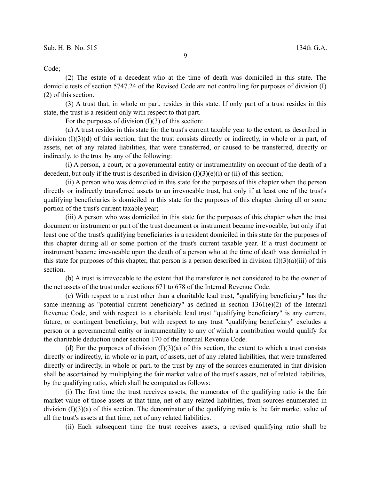Code;

(2) The estate of a decedent who at the time of death was domiciled in this state. The domicile tests of section 5747.24 of the Revised Code are not controlling for purposes of division (I) (2) of this section.

(3) A trust that, in whole or part, resides in this state. If only part of a trust resides in this state, the trust is a resident only with respect to that part.

For the purposes of division  $(I)(3)$  of this section:

(a) A trust resides in this state for the trust's current taxable year to the extent, as described in division (I)(3)(d) of this section, that the trust consists directly or indirectly, in whole or in part, of assets, net of any related liabilities, that were transferred, or caused to be transferred, directly or indirectly, to the trust by any of the following:

(i) A person, a court, or a governmental entity or instrumentality on account of the death of a decedent, but only if the trust is described in division  $(I)(3)(e)(i)$  or (ii) of this section;

(ii) A person who was domiciled in this state for the purposes of this chapter when the person directly or indirectly transferred assets to an irrevocable trust, but only if at least one of the trust's qualifying beneficiaries is domiciled in this state for the purposes of this chapter during all or some portion of the trust's current taxable year;

(iii) A person who was domiciled in this state for the purposes of this chapter when the trust document or instrument or part of the trust document or instrument became irrevocable, but only if at least one of the trust's qualifying beneficiaries is a resident domiciled in this state for the purposes of this chapter during all or some portion of the trust's current taxable year. If a trust document or instrument became irrevocable upon the death of a person who at the time of death was domiciled in this state for purposes of this chapter, that person is a person described in division  $(I)(3)(a)(iii)$  of this section.

(b) A trust is irrevocable to the extent that the transferor is not considered to be the owner of the net assets of the trust under sections 671 to 678 of the Internal Revenue Code.

(c) With respect to a trust other than a charitable lead trust, "qualifying beneficiary" has the same meaning as "potential current beneficiary" as defined in section 1361(e)(2) of the Internal Revenue Code, and with respect to a charitable lead trust "qualifying beneficiary" is any current, future, or contingent beneficiary, but with respect to any trust "qualifying beneficiary" excludes a person or a governmental entity or instrumentality to any of which a contribution would qualify for the charitable deduction under section 170 of the Internal Revenue Code.

(d) For the purposes of division  $(I)(3)(a)$  of this section, the extent to which a trust consists directly or indirectly, in whole or in part, of assets, net of any related liabilities, that were transferred directly or indirectly, in whole or part, to the trust by any of the sources enumerated in that division shall be ascertained by multiplying the fair market value of the trust's assets, net of related liabilities, by the qualifying ratio, which shall be computed as follows:

(i) The first time the trust receives assets, the numerator of the qualifying ratio is the fair market value of those assets at that time, net of any related liabilities, from sources enumerated in division (I)(3)(a) of this section. The denominator of the qualifying ratio is the fair market value of all the trust's assets at that time, net of any related liabilities.

(ii) Each subsequent time the trust receives assets, a revised qualifying ratio shall be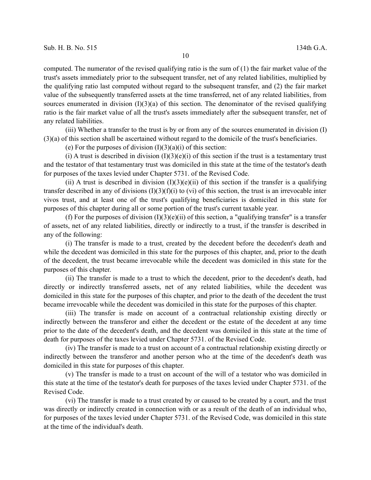computed. The numerator of the revised qualifying ratio is the sum of (1) the fair market value of the trust's assets immediately prior to the subsequent transfer, net of any related liabilities, multiplied by the qualifying ratio last computed without regard to the subsequent transfer, and (2) the fair market value of the subsequently transferred assets at the time transferred, net of any related liabilities, from sources enumerated in division  $(I)(3)(a)$  of this section. The denominator of the revised qualifying ratio is the fair market value of all the trust's assets immediately after the subsequent transfer, net of any related liabilities.

(iii) Whether a transfer to the trust is by or from any of the sources enumerated in division (I) (3)(a) of this section shall be ascertained without regard to the domicile of the trust's beneficiaries.

(e) For the purposes of division  $(I)(3)(a)(i)$  of this section:

(i) A trust is described in division  $(I)(3)(e)(i)$  of this section if the trust is a testamentary trust and the testator of that testamentary trust was domiciled in this state at the time of the testator's death for purposes of the taxes levied under Chapter 5731. of the Revised Code.

(ii) A trust is described in division  $(I)(3)(e)(ii)$  of this section if the transfer is a qualifying transfer described in any of divisions  $(I)(3)(f)(i)$  to (vi) of this section, the trust is an irrevocable inter vivos trust, and at least one of the trust's qualifying beneficiaries is domiciled in this state for purposes of this chapter during all or some portion of the trust's current taxable year.

(f) For the purposes of division  $(I)(3)(e)(ii)$  of this section, a "qualifying transfer" is a transfer of assets, net of any related liabilities, directly or indirectly to a trust, if the transfer is described in any of the following:

(i) The transfer is made to a trust, created by the decedent before the decedent's death and while the decedent was domiciled in this state for the purposes of this chapter, and, prior to the death of the decedent, the trust became irrevocable while the decedent was domiciled in this state for the purposes of this chapter.

(ii) The transfer is made to a trust to which the decedent, prior to the decedent's death, had directly or indirectly transferred assets, net of any related liabilities, while the decedent was domiciled in this state for the purposes of this chapter, and prior to the death of the decedent the trust became irrevocable while the decedent was domiciled in this state for the purposes of this chapter.

(iii) The transfer is made on account of a contractual relationship existing directly or indirectly between the transferor and either the decedent or the estate of the decedent at any time prior to the date of the decedent's death, and the decedent was domiciled in this state at the time of death for purposes of the taxes levied under Chapter 5731. of the Revised Code.

(iv) The transfer is made to a trust on account of a contractual relationship existing directly or indirectly between the transferor and another person who at the time of the decedent's death was domiciled in this state for purposes of this chapter.

(v) The transfer is made to a trust on account of the will of a testator who was domiciled in this state at the time of the testator's death for purposes of the taxes levied under Chapter 5731. of the Revised Code.

(vi) The transfer is made to a trust created by or caused to be created by a court, and the trust was directly or indirectly created in connection with or as a result of the death of an individual who, for purposes of the taxes levied under Chapter 5731. of the Revised Code, was domiciled in this state at the time of the individual's death.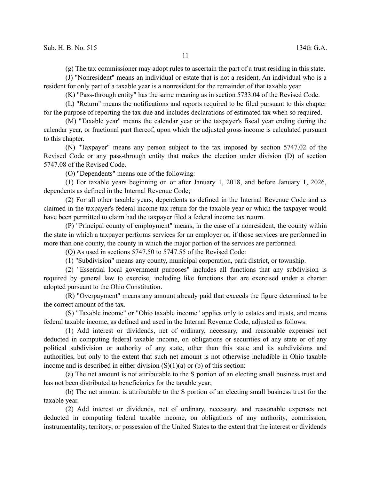(g) The tax commissioner may adopt rules to ascertain the part of a trust residing in this state.

(J) "Nonresident" means an individual or estate that is not a resident. An individual who is a resident for only part of a taxable year is a nonresident for the remainder of that taxable year.

(K) "Pass-through entity" has the same meaning as in section 5733.04 of the Revised Code.

(L) "Return" means the notifications and reports required to be filed pursuant to this chapter for the purpose of reporting the tax due and includes declarations of estimated tax when so required.

(M) "Taxable year" means the calendar year or the taxpayer's fiscal year ending during the calendar year, or fractional part thereof, upon which the adjusted gross income is calculated pursuant to this chapter.

(N) "Taxpayer" means any person subject to the tax imposed by section 5747.02 of the Revised Code or any pass-through entity that makes the election under division (D) of section 5747.08 of the Revised Code.

(O) "Dependents" means one of the following:

(1) For taxable years beginning on or after January 1, 2018, and before January 1, 2026, dependents as defined in the Internal Revenue Code;

(2) For all other taxable years, dependents as defined in the Internal Revenue Code and as claimed in the taxpayer's federal income tax return for the taxable year or which the taxpayer would have been permitted to claim had the taxpayer filed a federal income tax return.

(P) "Principal county of employment" means, in the case of a nonresident, the county within the state in which a taxpayer performs services for an employer or, if those services are performed in more than one county, the county in which the major portion of the services are performed.

(Q) As used in sections 5747.50 to 5747.55 of the Revised Code:

(1) "Subdivision" means any county, municipal corporation, park district, or township.

(2) "Essential local government purposes" includes all functions that any subdivision is required by general law to exercise, including like functions that are exercised under a charter adopted pursuant to the Ohio Constitution.

(R) "Overpayment" means any amount already paid that exceeds the figure determined to be the correct amount of the tax.

(S) "Taxable income" or "Ohio taxable income" applies only to estates and trusts, and means federal taxable income, as defined and used in the Internal Revenue Code, adjusted as follows:

(1) Add interest or dividends, net of ordinary, necessary, and reasonable expenses not deducted in computing federal taxable income, on obligations or securities of any state or of any political subdivision or authority of any state, other than this state and its subdivisions and authorities, but only to the extent that such net amount is not otherwise includible in Ohio taxable income and is described in either division  $(S)(1)(a)$  or (b) of this section:

(a) The net amount is not attributable to the S portion of an electing small business trust and has not been distributed to beneficiaries for the taxable year;

(b) The net amount is attributable to the S portion of an electing small business trust for the taxable year.

(2) Add interest or dividends, net of ordinary, necessary, and reasonable expenses not deducted in computing federal taxable income, on obligations of any authority, commission, instrumentality, territory, or possession of the United States to the extent that the interest or dividends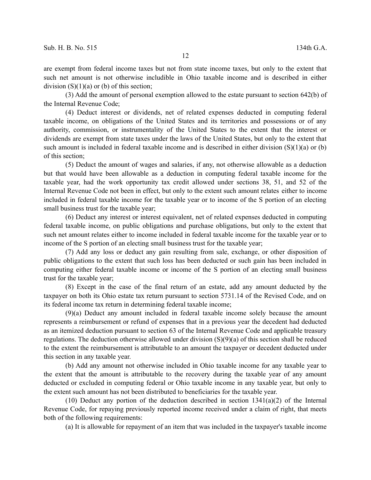are exempt from federal income taxes but not from state income taxes, but only to the extent that such net amount is not otherwise includible in Ohio taxable income and is described in either division  $(S)(1)(a)$  or (b) of this section;

(3) Add the amount of personal exemption allowed to the estate pursuant to section 642(b) of the Internal Revenue Code;

(4) Deduct interest or dividends, net of related expenses deducted in computing federal taxable income, on obligations of the United States and its territories and possessions or of any authority, commission, or instrumentality of the United States to the extent that the interest or dividends are exempt from state taxes under the laws of the United States, but only to the extent that such amount is included in federal taxable income and is described in either division (S)(1)(a) or (b) of this section;

(5) Deduct the amount of wages and salaries, if any, not otherwise allowable as a deduction but that would have been allowable as a deduction in computing federal taxable income for the taxable year, had the work opportunity tax credit allowed under sections 38, 51, and 52 of the Internal Revenue Code not been in effect, but only to the extent such amount relates either to income included in federal taxable income for the taxable year or to income of the S portion of an electing small business trust for the taxable year;

(6) Deduct any interest or interest equivalent, net of related expenses deducted in computing federal taxable income, on public obligations and purchase obligations, but only to the extent that such net amount relates either to income included in federal taxable income for the taxable year or to income of the S portion of an electing small business trust for the taxable year;

(7) Add any loss or deduct any gain resulting from sale, exchange, or other disposition of public obligations to the extent that such loss has been deducted or such gain has been included in computing either federal taxable income or income of the S portion of an electing small business trust for the taxable year;

(8) Except in the case of the final return of an estate, add any amount deducted by the taxpayer on both its Ohio estate tax return pursuant to section 5731.14 of the Revised Code, and on its federal income tax return in determining federal taxable income;

(9)(a) Deduct any amount included in federal taxable income solely because the amount represents a reimbursement or refund of expenses that in a previous year the decedent had deducted as an itemized deduction pursuant to section 63 of the Internal Revenue Code and applicable treasury regulations. The deduction otherwise allowed under division (S)(9)(a) of this section shall be reduced to the extent the reimbursement is attributable to an amount the taxpayer or decedent deducted under this section in any taxable year.

(b) Add any amount not otherwise included in Ohio taxable income for any taxable year to the extent that the amount is attributable to the recovery during the taxable year of any amount deducted or excluded in computing federal or Ohio taxable income in any taxable year, but only to the extent such amount has not been distributed to beneficiaries for the taxable year.

(10) Deduct any portion of the deduction described in section  $1341(a)(2)$  of the Internal Revenue Code, for repaying previously reported income received under a claim of right, that meets both of the following requirements:

(a) It is allowable for repayment of an item that was included in the taxpayer's taxable income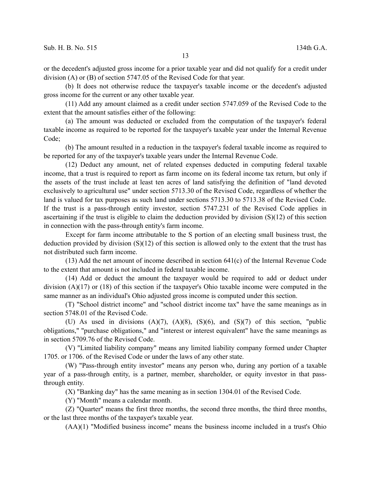or the decedent's adjusted gross income for a prior taxable year and did not qualify for a credit under division (A) or (B) of section 5747.05 of the Revised Code for that year.

(b) It does not otherwise reduce the taxpayer's taxable income or the decedent's adjusted gross income for the current or any other taxable year.

(11) Add any amount claimed as a credit under section 5747.059 of the Revised Code to the extent that the amount satisfies either of the following:

(a) The amount was deducted or excluded from the computation of the taxpayer's federal taxable income as required to be reported for the taxpayer's taxable year under the Internal Revenue Code;

(b) The amount resulted in a reduction in the taxpayer's federal taxable income as required to be reported for any of the taxpayer's taxable years under the Internal Revenue Code.

(12) Deduct any amount, net of related expenses deducted in computing federal taxable income, that a trust is required to report as farm income on its federal income tax return, but only if the assets of the trust include at least ten acres of land satisfying the definition of "land devoted exclusively to agricultural use" under section 5713.30 of the Revised Code, regardless of whether the land is valued for tax purposes as such land under sections 5713.30 to 5713.38 of the Revised Code. If the trust is a pass-through entity investor, section 5747.231 of the Revised Code applies in ascertaining if the trust is eligible to claim the deduction provided by division (S)(12) of this section in connection with the pass-through entity's farm income.

Except for farm income attributable to the S portion of an electing small business trust, the deduction provided by division (S)(12) of this section is allowed only to the extent that the trust has not distributed such farm income.

(13) Add the net amount of income described in section 641(c) of the Internal Revenue Code to the extent that amount is not included in federal taxable income.

(14) Add or deduct the amount the taxpayer would be required to add or deduct under division (A)(17) or (18) of this section if the taxpayer's Ohio taxable income were computed in the same manner as an individual's Ohio adjusted gross income is computed under this section.

(T) "School district income" and "school district income tax" have the same meanings as in section 5748.01 of the Revised Code.

(U) As used in divisions  $(A)(7)$ ,  $(A)(8)$ ,  $(S)(6)$ , and  $(S)(7)$  of this section, "public obligations," "purchase obligations," and "interest or interest equivalent" have the same meanings as in section 5709.76 of the Revised Code.

(V) "Limited liability company" means any limited liability company formed under Chapter 1705. or 1706. of the Revised Code or under the laws of any other state.

(W) "Pass-through entity investor" means any person who, during any portion of a taxable year of a pass-through entity, is a partner, member, shareholder, or equity investor in that passthrough entity.

(X) "Banking day" has the same meaning as in section 1304.01 of the Revised Code.

(Y) "Month" means a calendar month.

(Z) "Quarter" means the first three months, the second three months, the third three months, or the last three months of the taxpayer's taxable year.

(AA)(1) "Modified business income" means the business income included in a trust's Ohio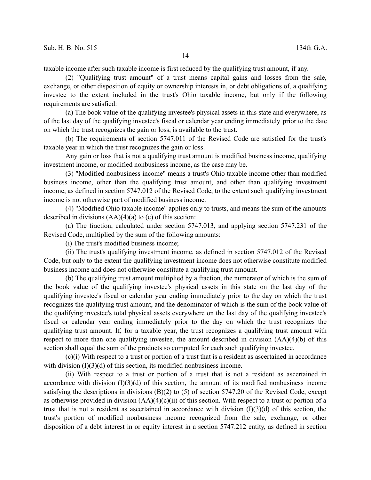taxable income after such taxable income is first reduced by the qualifying trust amount, if any.

(2) "Qualifying trust amount" of a trust means capital gains and losses from the sale, exchange, or other disposition of equity or ownership interests in, or debt obligations of, a qualifying investee to the extent included in the trust's Ohio taxable income, but only if the following requirements are satisfied:

(a) The book value of the qualifying investee's physical assets in this state and everywhere, as of the last day of the qualifying investee's fiscal or calendar year ending immediately prior to the date on which the trust recognizes the gain or loss, is available to the trust.

(b) The requirements of section 5747.011 of the Revised Code are satisfied for the trust's taxable year in which the trust recognizes the gain or loss.

Any gain or loss that is not a qualifying trust amount is modified business income, qualifying investment income, or modified nonbusiness income, as the case may be.

(3) "Modified nonbusiness income" means a trust's Ohio taxable income other than modified business income, other than the qualifying trust amount, and other than qualifying investment income, as defined in section 5747.012 of the Revised Code, to the extent such qualifying investment income is not otherwise part of modified business income.

(4) "Modified Ohio taxable income" applies only to trusts, and means the sum of the amounts described in divisions  $(AA)(4)(a)$  to  $(c)$  of this section:

(a) The fraction, calculated under section 5747.013, and applying section 5747.231 of the Revised Code, multiplied by the sum of the following amounts:

(i) The trust's modified business income;

(ii) The trust's qualifying investment income, as defined in section 5747.012 of the Revised Code, but only to the extent the qualifying investment income does not otherwise constitute modified business income and does not otherwise constitute a qualifying trust amount.

(b) The qualifying trust amount multiplied by a fraction, the numerator of which is the sum of the book value of the qualifying investee's physical assets in this state on the last day of the qualifying investee's fiscal or calendar year ending immediately prior to the day on which the trust recognizes the qualifying trust amount, and the denominator of which is the sum of the book value of the qualifying investee's total physical assets everywhere on the last day of the qualifying investee's fiscal or calendar year ending immediately prior to the day on which the trust recognizes the qualifying trust amount. If, for a taxable year, the trust recognizes a qualifying trust amount with respect to more than one qualifying investee, the amount described in division (AA)(4)(b) of this section shall equal the sum of the products so computed for each such qualifying investee.

(c)(i) With respect to a trust or portion of a trust that is a resident as ascertained in accordance with division  $(I)(3)(d)$  of this section, its modified nonbusiness income.

(ii) With respect to a trust or portion of a trust that is not a resident as ascertained in accordance with division  $(I)(3)(d)$  of this section, the amount of its modified nonbusiness income satisfying the descriptions in divisions  $(B)(2)$  to (5) of section 5747.20 of the Revised Code, except as otherwise provided in division  $(AA)(4)(c)(ii)$  of this section. With respect to a trust or portion of a trust that is not a resident as ascertained in accordance with division  $(I)(3)(d)$  of this section, the trust's portion of modified nonbusiness income recognized from the sale, exchange, or other disposition of a debt interest in or equity interest in a section 5747.212 entity, as defined in section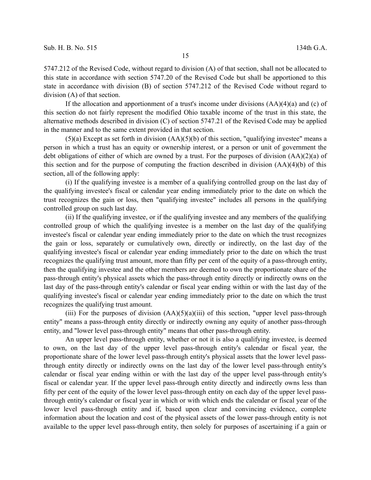5747.212 of the Revised Code, without regard to division (A) of that section, shall not be allocated to this state in accordance with section 5747.20 of the Revised Code but shall be apportioned to this state in accordance with division (B) of section 5747.212 of the Revised Code without regard to division (A) of that section.

If the allocation and apportionment of a trust's income under divisions  $(AA)(4)(a)$  and (c) of this section do not fairly represent the modified Ohio taxable income of the trust in this state, the alternative methods described in division (C) of section 5747.21 of the Revised Code may be applied in the manner and to the same extent provided in that section.

 $(5)(a)$  Except as set forth in division  $(AA)(5)(b)$  of this section, "qualifying investee" means a person in which a trust has an equity or ownership interest, or a person or unit of government the debt obligations of either of which are owned by a trust. For the purposes of division (AA)(2)(a) of this section and for the purpose of computing the fraction described in division (AA)(4)(b) of this section, all of the following apply:

(i) If the qualifying investee is a member of a qualifying controlled group on the last day of the qualifying investee's fiscal or calendar year ending immediately prior to the date on which the trust recognizes the gain or loss, then "qualifying investee" includes all persons in the qualifying controlled group on such last day.

(ii) If the qualifying investee, or if the qualifying investee and any members of the qualifying controlled group of which the qualifying investee is a member on the last day of the qualifying investee's fiscal or calendar year ending immediately prior to the date on which the trust recognizes the gain or loss, separately or cumulatively own, directly or indirectly, on the last day of the qualifying investee's fiscal or calendar year ending immediately prior to the date on which the trust recognizes the qualifying trust amount, more than fifty per cent of the equity of a pass-through entity, then the qualifying investee and the other members are deemed to own the proportionate share of the pass-through entity's physical assets which the pass-through entity directly or indirectly owns on the last day of the pass-through entity's calendar or fiscal year ending within or with the last day of the qualifying investee's fiscal or calendar year ending immediately prior to the date on which the trust recognizes the qualifying trust amount.

(iii) For the purposes of division  $(AA)(5)(a)(iii)$  of this section, "upper level pass-through entity" means a pass-through entity directly or indirectly owning any equity of another pass-through entity, and "lower level pass-through entity" means that other pass-through entity.

An upper level pass-through entity, whether or not it is also a qualifying investee, is deemed to own, on the last day of the upper level pass-through entity's calendar or fiscal year, the proportionate share of the lower level pass-through entity's physical assets that the lower level passthrough entity directly or indirectly owns on the last day of the lower level pass-through entity's calendar or fiscal year ending within or with the last day of the upper level pass-through entity's fiscal or calendar year. If the upper level pass-through entity directly and indirectly owns less than fifty per cent of the equity of the lower level pass-through entity on each day of the upper level passthrough entity's calendar or fiscal year in which or with which ends the calendar or fiscal year of the lower level pass-through entity and if, based upon clear and convincing evidence, complete information about the location and cost of the physical assets of the lower pass-through entity is not available to the upper level pass-through entity, then solely for purposes of ascertaining if a gain or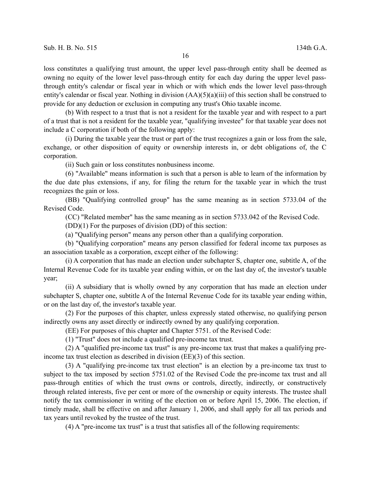loss constitutes a qualifying trust amount, the upper level pass-through entity shall be deemed as owning no equity of the lower level pass-through entity for each day during the upper level passthrough entity's calendar or fiscal year in which or with which ends the lower level pass-through entity's calendar or fiscal year. Nothing in division (AA)(5)(a)(iii) of this section shall be construed to provide for any deduction or exclusion in computing any trust's Ohio taxable income.

(b) With respect to a trust that is not a resident for the taxable year and with respect to a part of a trust that is not a resident for the taxable year, "qualifying investee" for that taxable year does not include a C corporation if both of the following apply:

(i) During the taxable year the trust or part of the trust recognizes a gain or loss from the sale, exchange, or other disposition of equity or ownership interests in, or debt obligations of, the C corporation.

(ii) Such gain or loss constitutes nonbusiness income.

(6) "Available" means information is such that a person is able to learn of the information by the due date plus extensions, if any, for filing the return for the taxable year in which the trust recognizes the gain or loss.

(BB) "Qualifying controlled group" has the same meaning as in section 5733.04 of the Revised Code.

(CC) "Related member" has the same meaning as in section 5733.042 of the Revised Code.

(DD)(1) For the purposes of division (DD) of this section:

(a) "Qualifying person" means any person other than a qualifying corporation.

(b) "Qualifying corporation" means any person classified for federal income tax purposes as an association taxable as a corporation, except either of the following:

(i) A corporation that has made an election under subchapter S, chapter one, subtitle A, of the Internal Revenue Code for its taxable year ending within, or on the last day of, the investor's taxable year;

(ii) A subsidiary that is wholly owned by any corporation that has made an election under subchapter S, chapter one, subtitle A of the Internal Revenue Code for its taxable year ending within, or on the last day of, the investor's taxable year.

(2) For the purposes of this chapter, unless expressly stated otherwise, no qualifying person indirectly owns any asset directly or indirectly owned by any qualifying corporation.

(EE) For purposes of this chapter and Chapter 5751. of the Revised Code:

(1) "Trust" does not include a qualified pre-income tax trust.

(2) A "qualified pre-income tax trust" is any pre-income tax trust that makes a qualifying preincome tax trust election as described in division (EE)(3) of this section.

(3) A "qualifying pre-income tax trust election" is an election by a pre-income tax trust to subject to the tax imposed by section 5751.02 of the Revised Code the pre-income tax trust and all pass-through entities of which the trust owns or controls, directly, indirectly, or constructively through related interests, five per cent or more of the ownership or equity interests. The trustee shall notify the tax commissioner in writing of the election on or before April 15, 2006. The election, if timely made, shall be effective on and after January 1, 2006, and shall apply for all tax periods and tax years until revoked by the trustee of the trust.

(4) A "pre-income tax trust" is a trust that satisfies all of the following requirements: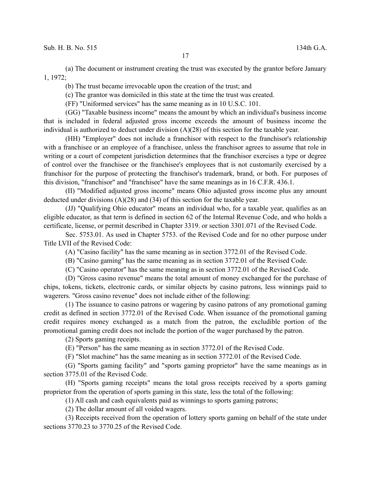(a) The document or instrument creating the trust was executed by the grantor before January 1, 1972;

(b) The trust became irrevocable upon the creation of the trust; and

(c) The grantor was domiciled in this state at the time the trust was created.

(FF) "Uniformed services" has the same meaning as in 10 U.S.C. 101.

(GG) "Taxable business income" means the amount by which an individual's business income that is included in federal adjusted gross income exceeds the amount of business income the individual is authorized to deduct under division (A)(28) of this section for the taxable year.

(HH) "Employer" does not include a franchisor with respect to the franchisor's relationship with a franchisee or an employee of a franchisee, unless the franchisor agrees to assume that role in writing or a court of competent jurisdiction determines that the franchisor exercises a type or degree of control over the franchisee or the franchisee's employees that is not customarily exercised by a franchisor for the purpose of protecting the franchisor's trademark, brand, or both. For purposes of this division, "franchisor" and "franchisee" have the same meanings as in 16 C.F.R. 436.1.

(II) "Modified adjusted gross income" means Ohio adjusted gross income plus any amount deducted under divisions (A)(28) and (34) of this section for the taxable year.

(JJ) "Qualifying Ohio educator" means an individual who, for a taxable year, qualifies as an eligible educator, as that term is defined in section 62 of the Internal Revenue Code, and who holds a certificate, license, or permit described in Chapter 3319. or section 3301.071 of the Revised Code.

Sec. 5753.01. As used in Chapter 5753. of the Revised Code and for no other purpose under Title LVII of the Revised Code:

(A) "Casino facility" has the same meaning as in section 3772.01 of the Revised Code.

(B) "Casino gaming" has the same meaning as in section 3772.01 of the Revised Code.

(C) "Casino operator" has the same meaning as in section 3772.01 of the Revised Code.

(D) "Gross casino revenue" means the total amount of money exchanged for the purchase of chips, tokens, tickets, electronic cards, or similar objects by casino patrons, less winnings paid to wagerers. "Gross casino revenue" does not include either of the following:

(1) The issuance to casino patrons or wagering by casino patrons of any promotional gaming credit as defined in section 3772.01 of the Revised Code. When issuance of the promotional gaming credit requires money exchanged as a match from the patron, the excludible portion of the promotional gaming credit does not include the portion of the wager purchased by the patron.

(2) Sports gaming receipts.

(E) "Person" has the same meaning as in section 3772.01 of the Revised Code.

(F) "Slot machine" has the same meaning as in section 3772.01 of the Revised Code.

(G) "Sports gaming facility" and "sports gaming proprietor" have the same meanings as in section 3775.01 of the Revised Code.

(H) "Sports gaming receipts" means the total gross receipts received by a sports gaming proprietor from the operation of sports gaming in this state, less the total of the following:

(1) All cash and cash equivalents paid as winnings to sports gaming patrons;

(2) The dollar amount of all voided wagers.

(3) Receipts received from the operation of lottery sports gaming on behalf of the state under sections 3770.23 to 3770.25 of the Revised Code.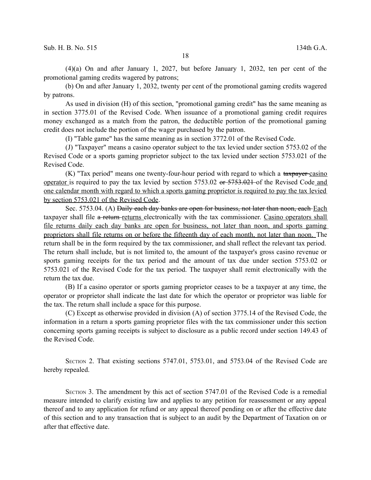(4)(a) On and after January 1, 2027, but before January 1, 2032, ten per cent of the promotional gaming credits wagered by patrons;

(b) On and after January 1, 2032, twenty per cent of the promotional gaming credits wagered by patrons.

As used in division (H) of this section, "promotional gaming credit" has the same meaning as in section 3775.01 of the Revised Code. When issuance of a promotional gaming credit requires money exchanged as a match from the patron, the deductible portion of the promotional gaming credit does not include the portion of the wager purchased by the patron.

(I) "Table game" has the same meaning as in section 3772.01 of the Revised Code.

(J) "Taxpayer" means a casino operator subject to the tax levied under section 5753.02 of the Revised Code or a sports gaming proprietor subject to the tax levied under section 5753.021 of the Revised Code.

(K) "Tax period" means one twenty-four-hour period with regard to which a taxpayer-casino operator is required to pay the tax levied by section 5753.02 or 5753.021 of the Revised Code and one calendar month with regard to which a sports gaming proprietor is required to pay the tax levied by section 5753.021 of the Revised Code.

Sec. 5753.04. (A) Daily each day banks are open for business, not later than noon, each Each taxpayer shall file a return-returns electronically with the tax commissioner. Casino operators shall file returns daily each day banks are open for business, not later than noon, and sports gaming proprietors shall file returns on or before the fifteenth day of each month, not later than noon. The return shall be in the form required by the tax commissioner, and shall reflect the relevant tax period. The return shall include, but is not limited to, the amount of the taxpayer's gross casino revenue or sports gaming receipts for the tax period and the amount of tax due under section 5753.02 or 5753.021 of the Revised Code for the tax period. The taxpayer shall remit electronically with the return the tax due.

(B) If a casino operator or sports gaming proprietor ceases to be a taxpayer at any time, the operator or proprietor shall indicate the last date for which the operator or proprietor was liable for the tax. The return shall include a space for this purpose.

(C) Except as otherwise provided in division (A) of section 3775.14 of the Revised Code, the information in a return a sports gaming proprietor files with the tax commissioner under this section concerning sports gaming receipts is subject to disclosure as a public record under section 149.43 of the Revised Code.

SECTION 2. That existing sections 5747.01, 5753.01, and 5753.04 of the Revised Code are hereby repealed.

SECTION 3. The amendment by this act of section 5747.01 of the Revised Code is a remedial measure intended to clarify existing law and applies to any petition for reassessment or any appeal thereof and to any application for refund or any appeal thereof pending on or after the effective date of this section and to any transaction that is subject to an audit by the Department of Taxation on or after that effective date.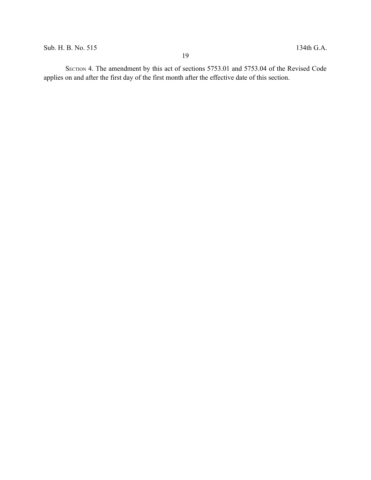SECTION 4. The amendment by this act of sections 5753.01 and 5753.04 of the Revised Code applies on and after the first day of the first month after the effective date of this section.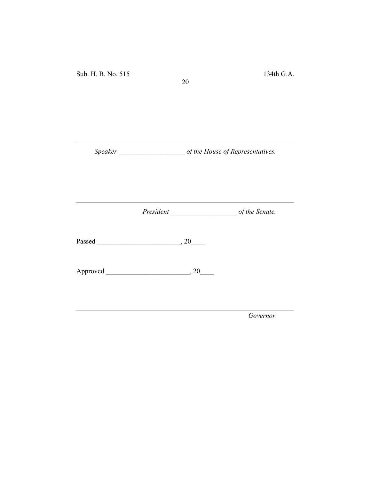Sub. H. B. No. 515 134th G.A.

*Speaker \_\_\_\_\_\_\_\_\_\_\_\_\_\_\_\_\_\_\_ of the House of Representatives.*

20

*President \_\_\_\_\_\_\_\_\_\_\_\_\_\_\_\_\_\_\_ of the Senate.*

Passed \_\_\_\_\_\_\_\_\_\_\_\_\_\_\_\_\_\_\_\_\_\_\_\_, 20\_\_\_\_

Approved \_\_\_\_\_\_\_\_\_\_\_\_\_\_\_\_\_\_\_\_\_\_\_\_, 20\_\_\_\_

*Governor.*